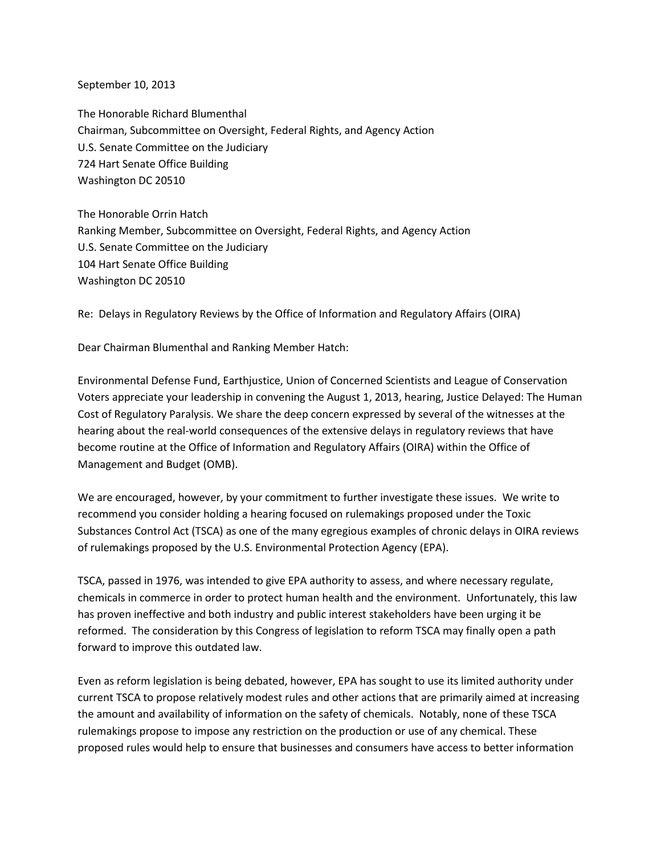September 10, 2013

The Honorable Richard Blumenthal Chairman, Subcommittee on Oversight, Federal Rights, and Agency Action U.S. Senate Committee on the Judiciary 724 Hart Senate Office Building Washington DC 20510

The Honorable Orrin Hatch Ranking Member, Subcommittee on Oversight, Federal Rights, and Agency Action U.S. Senate Committee on the Judiciary 104 Hart Senate Office Building Washington DC 20510

Re: Delays in Regulatory Reviews by the Office of Information and Regulatory Affairs (OIRA)

Dear Chairman Blumenthal and Ranking Member Hatch:

Environmental Defense Fund, Earthjustice, Union of Concerned Scientists and League of Conservation Voters appreciate your leadership in convening the August 1, 2013, hearing, Justice Delayed: The Human Cost of Regulatory Paralysis. We share the deep concern expressed by several of the witnesses at the hearing about the real-world consequences of the extensive delays in regulatory reviews that have become routine at the Office of Information and Regulatory Affairs (OIRA) within the Office of Management and Budget (OMB).

We are encouraged, however, by your commitment to further investigate these issues. We write to recommend you consider holding a hearing focused on rulemakings proposed under the Toxic Substances Control Act (TSCA) as one of the many egregious examples of chronic delays in OIRA reviews of rulemakings proposed by the U.S. Environmental Protection Agency (EPA).

TSCA, passed in 1976, was intended to give EPA authority to assess, and where necessary regulate, chemicals in commerce in order to protect human health and the environment. Unfortunately, this law has proven ineffective and both industry and public interest stakeholders have been urging it be reformed. The consideration by this Congress of legislation to reform TSCA may finally open a path forward to improve this outdated law.

Even as reform legislation is being debated, however, EPA has sought to use its limited authority under current TSCA to propose relatively modest rules and other actions that are primarily aimed at increasing the amount and availability of information on the safety of chemicals. Notably, none of these TSCA rulemakings propose to impose any restriction on the production or use of any chemical. These proposed rules would help to ensure that businesses and consumers have access to better information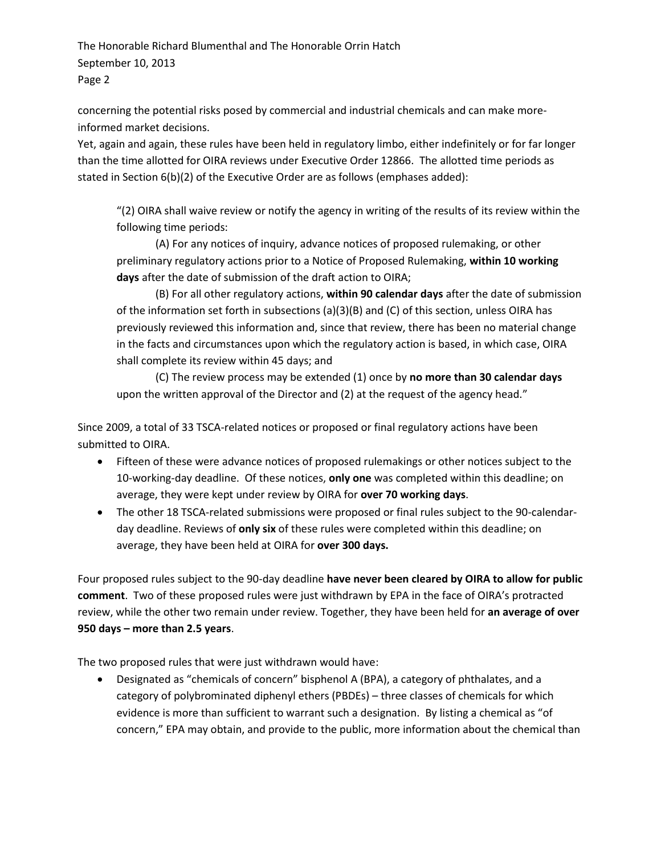concerning the potential risks posed by commercial and industrial chemicals and can make moreinformed market decisions.

Yet, again and again, these rules have been held in regulatory limbo, either indefinitely or for far longer than the time allotted for OIRA reviews under Executive Order 12866. The allotted time periods as stated in Section 6(b)(2) of the Executive Order are as follows (emphases added):

"(2) OIRA shall waive review or notify the agency in writing of the results of its review within the following time periods:

(A) For any notices of inquiry, advance notices of proposed rulemaking, or other preliminary regulatory actions prior to a Notice of Proposed Rulemaking, **within 10 working days** after the date of submission of the draft action to OIRA;

(B) For all other regulatory actions, **within 90 calendar days** after the date of submission of the information set forth in subsections (a)(3)(B) and (C) of this section, unless OIRA has previously reviewed this information and, since that review, there has been no material change in the facts and circumstances upon which the regulatory action is based, in which case, OIRA shall complete its review within 45 days; and

(C) The review process may be extended (1) once by **no more than 30 calendar days** upon the written approval of the Director and (2) at the request of the agency head."

Since 2009, a total of 33 TSCA-related notices or proposed or final regulatory actions have been submitted to OIRA.

- Fifteen of these were advance notices of proposed rulemakings or other notices subject to the 10-working-day deadline. Of these notices, **only one** was completed within this deadline; on average, they were kept under review by OIRA for **over 70 working days**.
- The other 18 TSCA-related submissions were proposed or final rules subject to the 90-calendarday deadline. Reviews of **only six** of these rules were completed within this deadline; on average, they have been held at OIRA for **over 300 days.**

Four proposed rules subject to the 90-day deadline **have never been cleared by OIRA to allow for public comment**. Two of these proposed rules were just withdrawn by EPA in the face of OIRA's protracted review, while the other two remain under review. Together, they have been held for **an average of over 950 days – more than 2.5 years**.

The two proposed rules that were just withdrawn would have:

 Designated as "chemicals of concern" bisphenol A (BPA), a category of phthalates, and a category of polybrominated diphenyl ethers (PBDEs) – three classes of chemicals for which evidence is more than sufficient to warrant such a designation. By listing a chemical as "of concern," EPA may obtain, and provide to the public, more information about the chemical than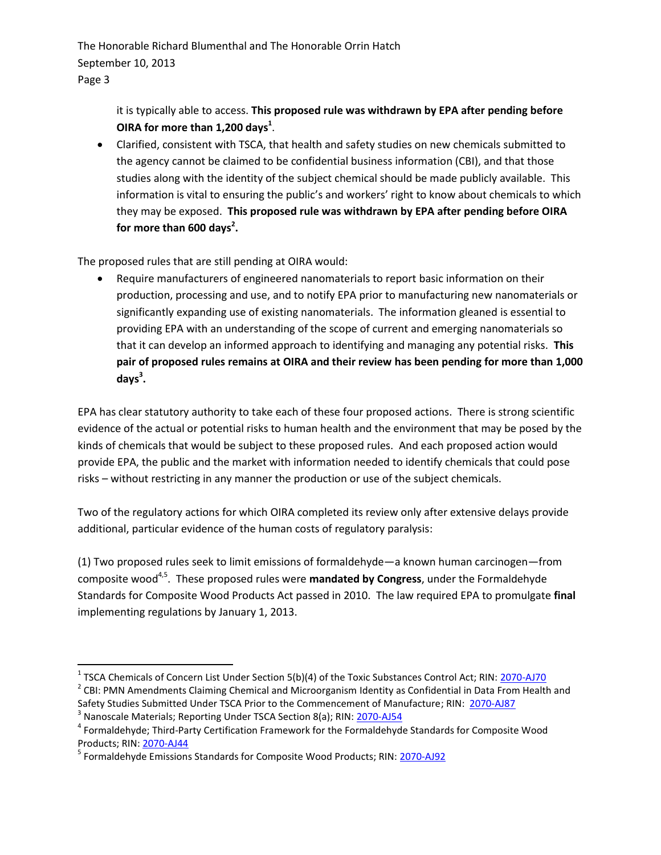> it is typically able to access. **This proposed rule was withdrawn by EPA after pending before OIRA for more than 1,200 days<sup>1</sup>** .

 Clarified, consistent with TSCA, that health and safety studies on new chemicals submitted to the agency cannot be claimed to be confidential business information (CBI), and that those studies along with the identity of the subject chemical should be made publicly available. This information is vital to ensuring the public's and workers' right to know about chemicals to which they may be exposed. **This proposed rule was withdrawn by EPA after pending before OIRA for more than 600 days<sup>2</sup> .**

The proposed rules that are still pending at OIRA would:

 Require manufacturers of engineered nanomaterials to report basic information on their production, processing and use, and to notify EPA prior to manufacturing new nanomaterials or significantly expanding use of existing nanomaterials. The information gleaned is essential to providing EPA with an understanding of the scope of current and emerging nanomaterials so that it can develop an informed approach to identifying and managing any potential risks. **This pair of proposed rules remains at OIRA and their review has been pending for more than 1,000 days<sup>3</sup> .**

EPA has clear statutory authority to take each of these four proposed actions. There is strong scientific evidence of the actual or potential risks to human health and the environment that may be posed by the kinds of chemicals that would be subject to these proposed rules. And each proposed action would provide EPA, the public and the market with information needed to identify chemicals that could pose risks – without restricting in any manner the production or use of the subject chemicals.

Two of the regulatory actions for which OIRA completed its review only after extensive delays provide additional, particular evidence of the human costs of regulatory paralysis:

(1) Two proposed rules seek to limit emissions of formaldehyde—a known human carcinogen—from composite wood<sup>4,5</sup>. These proposed rules were **mandated by Congress**, under the Formaldehyde Standards for Composite Wood Products Act passed in 2010. The law required EPA to promulgate **final** implementing regulations by January 1, 2013.

 $\overline{\phantom{a}}$ 

<sup>&</sup>lt;sup>1</sup> TSCA Chemicals of Concern List Under Section 5(b)(4) of the Toxic Substances Control Act; RIN: <u>2070-AJ70</u>

<sup>&</sup>lt;sup>2</sup> CBI: PMN Amendments Claiming Chemical and Microorganism Identity as Confidential in Data From Health and Safety Studies Submitted Under TSCA Prior to the Commencement of Manufacture; RIN: [2070-AJ87](http://www.reginfo.gov/public/do/eAgendaViewRule?pubId=201104&RIN=2070-AJ87)

<sup>&</sup>lt;sup>3</sup> Nanoscale Materials; Reporting Under TSCA Section 8(a); RIN: [2070-AJ54](http://www.reginfo.gov/public/do/eAgendaViewRule?pubId=201010&RIN=2070-AJ54)

<sup>&</sup>lt;sup>4</sup> Formaldehyde; Third-Party Certification Framework for the Formaldehyde Standards for Composite Wood Products; RIN: [2070-AJ44](http://www.reginfo.gov/public/do/eAgendaViewRule?pubId=201110&RIN=2070-AJ44)

<sup>&</sup>lt;sup>5</sup> Formaldehyde Emissions Standards for Composite Wood Products; RIN: [2070-AJ92](http://www.reginfo.gov/public/do/eAgendaViewRule?pubId=201304&RIN=2070-AJ92)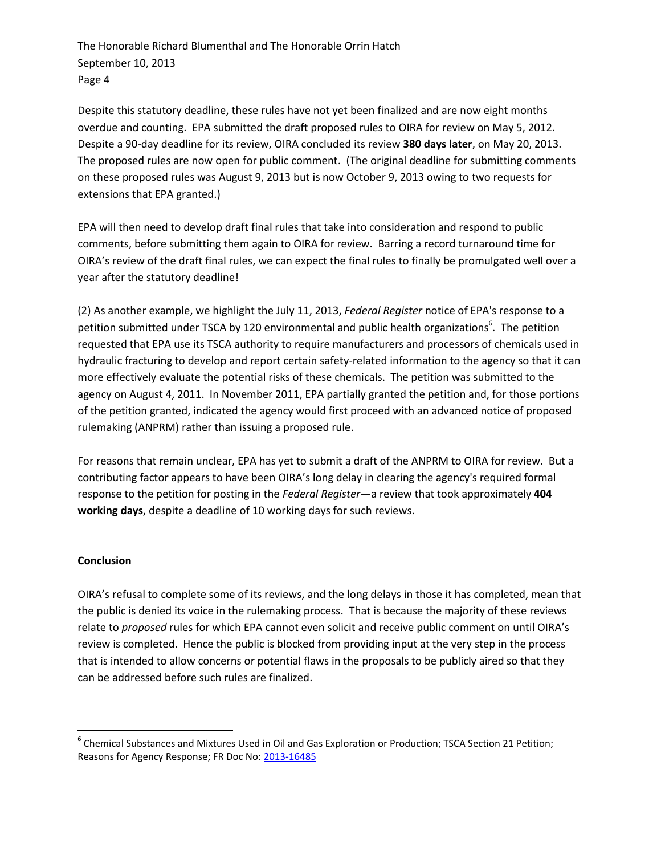Despite this statutory deadline, these rules have not yet been finalized and are now eight months overdue and counting. EPA submitted the draft proposed rules to OIRA for review on May 5, 2012. Despite a 90-day deadline for its review, OIRA concluded its review **380 days later**, on May 20, 2013. The proposed rules are now open for public comment. (The original deadline for submitting comments on these proposed rules was August 9, 2013 but is now October 9, 2013 owing to two requests for extensions that EPA granted.)

EPA will then need to develop draft final rules that take into consideration and respond to public comments, before submitting them again to OIRA for review. Barring a record turnaround time for OIRA's review of the draft final rules, we can expect the final rules to finally be promulgated well over a year after the statutory deadline!

(2) As another example, we highlight the July 11, 2013, *Federal Register* notice of EPA's response to a petition submitted under TSCA by 120 environmental and public health organizations<sup>6</sup>. The petition requested that EPA use its TSCA authority to require manufacturers and processors of chemicals used in hydraulic fracturing to develop and report certain safety-related information to the agency so that it can more effectively evaluate the potential risks of these chemicals. The petition was submitted to the agency on August 4, 2011. In November 2011, EPA partially granted the petition and, for those portions of the petition granted, indicated the agency would first proceed with an advanced notice of proposed rulemaking (ANPRM) rather than issuing a proposed rule.

For reasons that remain unclear, EPA has yet to submit a draft of the ANPRM to OIRA for review. But a contributing factor appears to have been OIRA's long delay in clearing the agency's required formal response to the petition for posting in the *Federal Register*—a review that took approximately **404 working days**, despite a deadline of 10 working days for such reviews.

## **Conclusion**

 $\overline{\phantom{a}}$ 

OIRA's refusal to complete some of its reviews, and the long delays in those it has completed, mean that the public is denied its voice in the rulemaking process. That is because the majority of these reviews relate to *proposed* rules for which EPA cannot even solicit and receive public comment on until OIRA's review is completed. Hence the public is blocked from providing input at the very step in the process that is intended to allow concerns or potential flaws in the proposals to be publicly aired so that they can be addressed before such rules are finalized.

 $^6$  Chemical Substances and Mixtures Used in Oil and Gas Exploration or Production; TSCA Section 21 Petition; Reasons for Agency Response; FR Doc No: [2013-16485](http://www.gpo.gov/fdsys/pkg/FR-2013-07-11/html/2013-16485.htm)